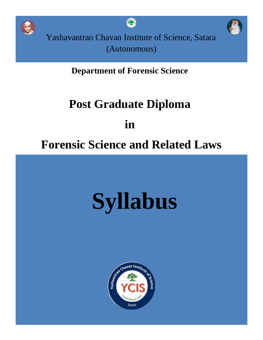

**Department of Forensic Science**

# **Post Graduate Diploma**

**in**

# **Forensic Science and Related Laws**

# **Syllabus**

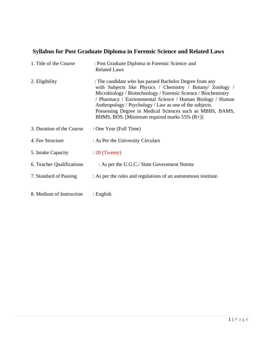## **Syllabus for Post Graduate Diploma in Forensic Science and Related Laws**

| 1. Title of the Course    | : Post Graduate Diploma in Forensic Science and<br><b>Related Laws</b>                                                                                                                                                                                                                                                                                                                                                           |
|---------------------------|----------------------------------------------------------------------------------------------------------------------------------------------------------------------------------------------------------------------------------------------------------------------------------------------------------------------------------------------------------------------------------------------------------------------------------|
| 2. Eligibility            | : The candidate who has passed Bachelor Degree from any<br>with Subjects like Physics / Chemistry / Botany/ Zoology /<br>Microbiology / Biotechnology / Forensic Science / Biochemistry<br>/ Pharmacy / Environmental Science / Human Biology / Human<br>Anthropology / Psychology / Law as one of the subjects.<br>Possessing Degree in Medical Sciences such as MBBS, BAMS,<br>BHMS, BDS. [Minimum required marks $55\%$ (B+)] |
| 3. Duration of the Course | : One Year (Full Time)                                                                                                                                                                                                                                                                                                                                                                                                           |
| 4. Fee Structure          | : As Per the University Circulars                                                                                                                                                                                                                                                                                                                                                                                                |
| 5. Intake Capacity        | $: 20$ (Twenty)                                                                                                                                                                                                                                                                                                                                                                                                                  |
| 6. Teacher Qualifications | : As per the U.G.C./ State Government Norms                                                                                                                                                                                                                                                                                                                                                                                      |
| 7. Standard of Passing    | : As per the rules and regulations of an autonomous institute.                                                                                                                                                                                                                                                                                                                                                                   |
| 8. Medium of Instruction  | : English                                                                                                                                                                                                                                                                                                                                                                                                                        |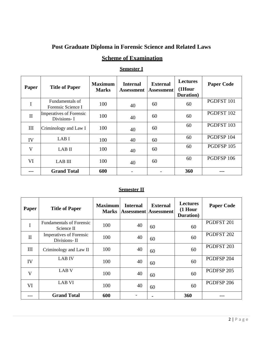#### **Post Graduate Diploma in Forensic Science and Related Laws**

#### **Scheme of Examination**

#### **Semester I**

| Paper        | <b>Title of Paper</b>                         | <b>Maximum</b><br><b>Marks</b> | <b>Internal</b><br><b>Assessment</b> | <b>External</b><br><b>Assessment</b> | <b>Lectures</b><br>$(1$ Hour<br>Duration) | <b>Paper Code</b> |
|--------------|-----------------------------------------------|--------------------------------|--------------------------------------|--------------------------------------|-------------------------------------------|-------------------|
| I            | Fundamentals of<br>Forensic Science I         | 100                            | 40                                   | 60                                   | 60                                        | PGDFST 101        |
| $\mathbf{I}$ | <b>Imperatives of Forensic</b><br>Divisions-I | 100                            | 40                                   | 60                                   | 60                                        | PGDFST 102        |
| III          | Criminology and Law I                         | 100                            | 40                                   | 60                                   | 60                                        | PGDFST 103        |
| IV           | LAB I                                         | 100                            | 40                                   | 60                                   | 60                                        | PGDFSP 104        |
| V            | LAB II                                        | 100                            | 40                                   | 60                                   | 60                                        | PGDFSP 105        |
| VI           | <b>LAB III</b>                                | 100                            | 40                                   | 60                                   | 60                                        | PGDFSP 106        |
|              | <b>Grand Total</b>                            | 600                            |                                      |                                      | 360                                       |                   |

#### **Semester II**

| <b>Paper</b> | <b>Title of Paper</b>                          | <b>Maximum</b> | <b>Internal</b> | <b>External</b><br><b>Marks Assessment Assessment</b> | <b>Lectures</b><br>$(1$ Hour<br>Duration) | <b>Paper Code</b>     |
|--------------|------------------------------------------------|----------------|-----------------|-------------------------------------------------------|-------------------------------------------|-----------------------|
| I            | <b>Fundamentals of Forensic</b><br>Science II  | 100            | 40              | 60                                                    | 60                                        | PGDFST 201            |
| $\mathbf{I}$ | <b>Imperatives of Forensic</b><br>Divisions-II | 100            | 40              | 60                                                    | 60                                        | PGDFST 202            |
| III          | Criminology and Law II                         | 100            | 40              | 60                                                    | 60                                        | PGDFST <sub>203</sub> |
| IV           | <b>LAB IV</b>                                  | 100            | 40              | 60                                                    | 60                                        | PGDFSP 204            |
| V            | LAB <sub>V</sub>                               | 100            | 40              | 60                                                    | 60                                        | PGDFSP 205            |
| VI           | LAB VI                                         | 100            | 40              | 60                                                    | 60                                        | PGDFSP 206            |
|              | <b>Grand Total</b>                             | 600            |                 |                                                       | 360                                       |                       |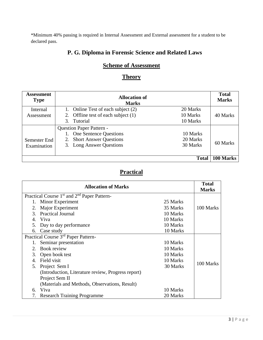\*Minimum 40% passing is required in Internal Assessment and External assessment for a student to be declared pass.

#### **P. G. Diploma in Forensic Science and Related Laws**

#### **Scheme of Assessment**

#### **Theory**

| <b>Assessment</b><br><b>Type</b> | <b>Allocation of</b><br><b>Marks</b> |          | <b>Total</b><br><b>Marks</b> |
|----------------------------------|--------------------------------------|----------|------------------------------|
| Internal                         | 1. Online Test of each subject (2)   | 20 Marks |                              |
| Assessment                       | 2. Offline test of each subject (1)  | 10 Marks | 40 Marks                     |
|                                  | $\mathcal{R}$<br>Tutorial            | 10 Marks |                              |
|                                  | <b>Question Paper Pattern -</b>      |          |                              |
|                                  | 1. One Sentence Questions            | 10 Marks |                              |
| Semester End                     | 2. Short Answer Questions            | 20 Marks |                              |
| Examination                      | 3. Long Answer Questions             | 30 Marks | 60 Marks                     |
|                                  |                                      |          |                              |
|                                  |                                      | Total    | 100 Marks                    |

#### **Practical**

|                  | <b>Allocation of Marks</b>                                          |          | <b>Total</b><br><b>Marks</b> |
|------------------|---------------------------------------------------------------------|----------|------------------------------|
|                  | Practical Course 1 <sup>st</sup> and 2 <sup>nd</sup> Paper Pattern- |          |                              |
|                  | 1. Minor Experiment                                                 | 25 Marks |                              |
| 2.               | Major Experiment                                                    | 35 Marks | 100 Marks                    |
| 3.               | <b>Practical Journal</b>                                            | 10 Marks |                              |
| $\overline{4}$ . | Viva                                                                | 10 Marks |                              |
| 5.               | Day to day performance                                              | 10 Marks |                              |
| 6.               | Case study                                                          | 10 Marks |                              |
|                  | Practical Course 3 <sup>rd</sup> Paper Pattern-                     |          |                              |
| 1.               | Seminar presentation                                                | 10 Marks |                              |
| $2^{\circ}$      | Book review                                                         | 10 Marks |                              |
| 3.               | Open book test                                                      | 10 Marks |                              |
| $\mathbf{4}$     | Field visit                                                         | 10 Marks | 100 Marks                    |
| 5.               | Project Sem I                                                       | 30 Marks |                              |
|                  | (Introduction, Literature review, Progress report)                  |          |                              |
|                  | Project Sem II                                                      |          |                              |
|                  | (Materials and Methods, Observations, Result)                       |          |                              |
| 6.               | Viva                                                                | 10 Marks |                              |
| 7.               | <b>Research Training Programme</b>                                  | 20 Marks |                              |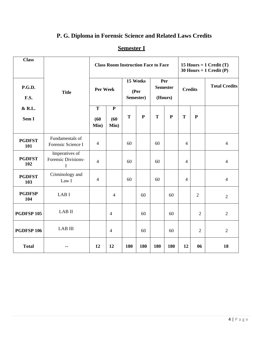# **P. G. Diploma in Forensic Science and Related Laws Credits**

#### **Semester I**

| <b>Class</b>          |                                            | <b>Class Room Instruction Face to Face</b> |                                                                                      |             |           |           |             | 15 Hours = $1$ Credit (T)<br>30 Hours = $1$ Credit (P) |                |                |          |  |     |  |  |                      |
|-----------------------|--------------------------------------------|--------------------------------------------|--------------------------------------------------------------------------------------|-------------|-----------|-----------|-------------|--------------------------------------------------------|----------------|----------------|----------|--|-----|--|--|----------------------|
| P.G.D.<br><b>F.S.</b> | <b>Title</b>                               |                                            | <b>Semester</b><br><b>Per Week</b><br><b>Credits</b><br>(Per<br>Semester)<br>(Hours) |             |           |           |             |                                                        |                |                | 15 Weeks |  | Per |  |  | <b>Total Credits</b> |
| & R.L.<br>Sem I       |                                            | T<br>(60)<br>Min)                          | ${\bf P}$<br>(60)<br>Min)                                                            | $\mathbf T$ | ${\bf P}$ | ${\bf T}$ | $\mathbf P$ | ${\bf T}$                                              | ${\bf P}$      |                |          |  |     |  |  |                      |
| <b>PGDFST</b><br>101  | Fundamentals of<br>Forensic Science I      | $\overline{4}$                             |                                                                                      | 60          |           | 60        |             | $\overline{4}$                                         |                | $\overline{4}$ |          |  |     |  |  |                      |
| <b>PGDFST</b><br>102  | Imperatives of<br>Forensic Divisions-<br>I | $\overline{4}$                             |                                                                                      | 60          |           | 60        |             | $\overline{4}$                                         |                | $\overline{4}$ |          |  |     |  |  |                      |
| <b>PGDFST</b><br>103  | Criminology and<br>Law I                   | $\overline{4}$                             |                                                                                      | 60          |           | 60        |             | $\overline{4}$                                         |                | $\overline{4}$ |          |  |     |  |  |                      |
| <b>PGDFSP</b><br>104  | LAB I                                      |                                            | $\overline{4}$                                                                       |             | 60        |           | 60          |                                                        | $\overline{2}$ | $\overline{2}$ |          |  |     |  |  |                      |
| PGDFSP <sub>105</sub> | LAB II                                     |                                            | $\overline{4}$                                                                       |             | 60        |           | 60          |                                                        | 2              | $\overline{2}$ |          |  |     |  |  |                      |
| <b>PGDFSP 106</b>     | <b>LAB III</b>                             |                                            | $\overline{4}$                                                                       |             | 60        |           | 60          |                                                        | $\overline{2}$ | $\overline{2}$ |          |  |     |  |  |                      |
| <b>Total</b>          |                                            | 12                                         | 12                                                                                   | 180         | 180       | 180       | 180         | 12                                                     | 06             | 18             |          |  |     |  |  |                      |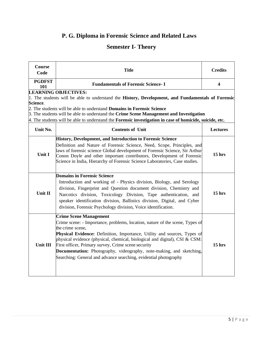# **P. G. Diploma in Forensic Science and Related Laws**

## **Semester I- Theory**

| Course<br>Code       | <b>Title</b>                                                                                                                                                                                                                                                                                                                                                                                                                                                                                   | <b>Credits</b>          |  |  |  |  |
|----------------------|------------------------------------------------------------------------------------------------------------------------------------------------------------------------------------------------------------------------------------------------------------------------------------------------------------------------------------------------------------------------------------------------------------------------------------------------------------------------------------------------|-------------------------|--|--|--|--|
| <b>PGDFST</b><br>101 | <b>Fundamentals of Forensic Science-I</b>                                                                                                                                                                                                                                                                                                                                                                                                                                                      | $\overline{\mathbf{4}}$ |  |  |  |  |
| Science.             | <b>LEARNING OBJECTIVES:</b><br>1. The students will be able to understand the History, Development, and Fundamentals of Forensic                                                                                                                                                                                                                                                                                                                                                               |                         |  |  |  |  |
|                      | 2. The students will be able to understand <b>Domains in Forensic Science</b><br>3. The students will be able to understand the Crime Scene Management and Investigation<br>4. The students will be able to understand the <b>Forensic investigation in case of homicide, suicide, etc.</b>                                                                                                                                                                                                    |                         |  |  |  |  |
| Unit No.             | <b>Contents of Unit</b>                                                                                                                                                                                                                                                                                                                                                                                                                                                                        | Lectures                |  |  |  |  |
| Unit I               | History, Development, and Introduction to Forensic Science<br>Definition and Nature of Forensic Science, Need, Scope, Principles, and<br>laws of forensic science Global development of Forensic Science, Sir Arthur<br>Conon Doyle and other important contributors, Development of Forensic<br>Science in India, Hierarchy of Forensic Science Laboratories, Case studies.                                                                                                                   | $15$ hrs                |  |  |  |  |
| Unit II              | <b>Domains in Forensic Science</b><br>Introduction and working of - Physics division, Biology, and Serology<br>division, Fingerprint and Question document division, Chemistry and<br>Narcotics division, Toxicology Division, Tape authentication, and<br>speaker identification division, Ballistics division, Digital, and Cyber<br>division, Forensic Psychology division, Voice identification.                                                                                           | $15$ hrs                |  |  |  |  |
| <b>Unit III</b>      | <b>Crime Scene Management</b><br>Crime scene: - Importance, problems, location, nature of the scene, Types of<br>the crime scene,<br>Physical Evidence: Definition, Importance, Utility and sources, Types of<br>physical evidence (physical, chemical, biological and digital), CSI & CSM:<br>First officer, Primary survey, Crime scene security<br>Documentation: Photography, videography, note-making, and sketching,<br>Searching: General and advance searching, evidential photography | $15$ hrs                |  |  |  |  |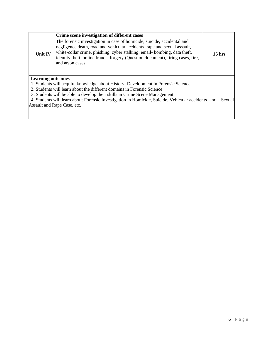| <b>Unit IV</b>      | Crime scene investigation of different cases<br>The forensic investigation in case of homicide, suicide, accidental and<br>negligence death, road and vehicular accidents, rape and sexual assault,<br>white-collar crime, phishing, cyber stalking, email-bombing, data theft,<br>identity theft, online frauds, forgery (Question document), firing cases, fire,<br>and arson cases. | 15 <sub>hrs</sub> |
|---------------------|----------------------------------------------------------------------------------------------------------------------------------------------------------------------------------------------------------------------------------------------------------------------------------------------------------------------------------------------------------------------------------------|-------------------|
| Learning outcomes – |                                                                                                                                                                                                                                                                                                                                                                                        |                   |
|                     | 1. Students will acquire knowledge about History, Development in Forensic Science                                                                                                                                                                                                                                                                                                      |                   |
|                     | 2. Students will learn about the different domains in Forensic Science                                                                                                                                                                                                                                                                                                                 |                   |
|                     | 3. Students will be able to develop their skills in Crime Scene Management                                                                                                                                                                                                                                                                                                             |                   |
|                     | 4. Students will learn about Forensic Investigation in Homicide, Suicide, Vehicular accidents, and                                                                                                                                                                                                                                                                                     | Sexual            |
|                     | Assault and Rape Case, etc.                                                                                                                                                                                                                                                                                                                                                            |                   |
|                     |                                                                                                                                                                                                                                                                                                                                                                                        |                   |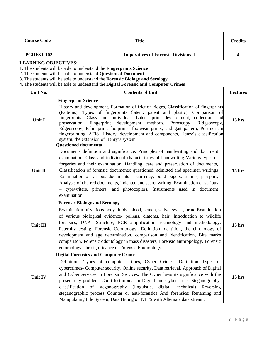| <b>Course Code</b>                                                                                                                                                                                                                                                                                                                                               | <b>Title</b>                                                                                                                                                                                                                                                                                                                                                                                                                                                                                                                                                                                                                              | <b>Credits</b> |  |  |
|------------------------------------------------------------------------------------------------------------------------------------------------------------------------------------------------------------------------------------------------------------------------------------------------------------------------------------------------------------------|-------------------------------------------------------------------------------------------------------------------------------------------------------------------------------------------------------------------------------------------------------------------------------------------------------------------------------------------------------------------------------------------------------------------------------------------------------------------------------------------------------------------------------------------------------------------------------------------------------------------------------------------|----------------|--|--|
| <b>PGDFST 102</b>                                                                                                                                                                                                                                                                                                                                                | <b>Imperatives of Forensic Divisions-I</b>                                                                                                                                                                                                                                                                                                                                                                                                                                                                                                                                                                                                | 4              |  |  |
| <b>LEARNING OBJECTIVES:</b><br>1. The students will be able to understand the Fingerprints Science<br>2. The students will be able to understand Questioned Document<br>$\beta$ . The students will be able to understand the <b>Forensic Biology and Serology</b><br>4. The students will be able to understand the <b>Digital Forensic and Computer Crimes</b> |                                                                                                                                                                                                                                                                                                                                                                                                                                                                                                                                                                                                                                           |                |  |  |
| Unit No.                                                                                                                                                                                                                                                                                                                                                         | <b>Contents of Unit</b>                                                                                                                                                                                                                                                                                                                                                                                                                                                                                                                                                                                                                   | Lectures       |  |  |
| Unit I                                                                                                                                                                                                                                                                                                                                                           | <b>Fingerprint Science</b><br>History and development, Formation of friction ridges, Classification of fingerprints<br>(Patterns), Types of fingerprints (latent, patent and plastic), Comparison of<br>fingerprints- Class and Individual, Latent print development, collection and<br>Fingerprint<br>development methods, Poroscopy,<br>preservation,<br>Ridgeoscopy,<br>Edgeoscopy, Palm print, footprints, footwear prints, and gait pattern, Postmortem<br>fingerprinting, AFIS- History, development and components, Henry's classification<br>system, the extension of Henry's system                                              | $15$ hrs       |  |  |
| Unit II                                                                                                                                                                                                                                                                                                                                                          | <b>Questioned documents</b><br>Document- definition and significance, Principles of handwriting and document<br>examination, Class and individual characteristics of handwriting Various types of<br>forgeries and their examination, Handling, care and preservation of documents,<br>Classification of forensic documents: questioned, admitted and specimen writings<br>Examination of various documents – currency, bond papers, stamps, passport,<br>Analysis of charred documents, indented and secret writing, Examination of various<br>typewriters, printers, and photocopiers, Instruments used in document<br>examination      | 15 hrs         |  |  |
| Unit III                                                                                                                                                                                                                                                                                                                                                         | <b>Forensic Biology and Serology</b><br>Examination of various body fluids-blood, semen, saliva, sweat, urine Examination<br>of various biological evidence- pollens, diatoms, hair, Introduction to wildlife<br>forensics, DNA- Structure, PCR amplification, technology and methodology,<br>Paternity testing, Forensic Odontology- Definition, dentition, the chronology of<br>development and age determination, comparison and identification, Bite marks<br>comparison, Forensic odontology in mass disasters, Forensic anthropology, Forensic<br>entomology- the significance of Forensic Entomology                               | 15 hrs         |  |  |
| Unit IV                                                                                                                                                                                                                                                                                                                                                          | <b>Digital Forensics and Computer Crimes-</b><br>Definition, Types of computer crimes, Cyber Crimes- Definition Types of<br>cybercrimes- Computer security, Online security, Data retrieval, Approach of Digital<br>and Cyber services in Forensic Services. The Cyber laws its significance with the<br>present-day problem. Court testimonial in Digital and Cyber cases. Steganography,<br>classification of steganography<br>(linguistic, digital, technical) Reversing<br>steganographic process Counter or anti-forensics Anti forensics: Renaming and<br>Manipulating File System, Data Hiding on NTFS with Alternate data stream. | $15$ hrs       |  |  |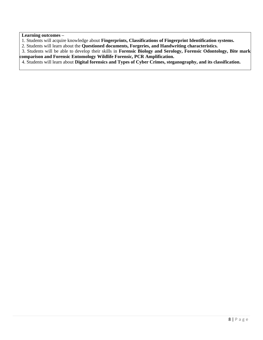#### **Learning outcomes –**

- 1. Students will acquire knowledge about **Fingerprints, Classifications of Fingerprint Identification systems.**
- 2. Students will learn about the **Questioned documents, Forgeries, and Handwriting characteristics.**

 3. Students will be able to develop their skills in **Forensic Biology and Serology, Forensic Odontology, Bite mark comparison and Forensic Entomology Wildlife Forensic, PCR Amplification.**

4. Students will learn about **Digital forensics and Types of Cyber Crimes, steganography, and its classification.**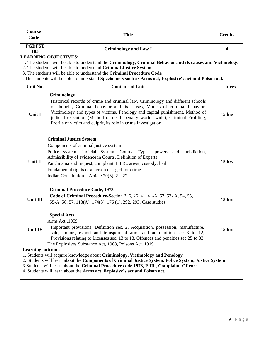| Course<br>Code       | <b>Title</b>                                                                                                                                                                                                                                                                                                                                                                                                    | <b>Credits</b>          |
|----------------------|-----------------------------------------------------------------------------------------------------------------------------------------------------------------------------------------------------------------------------------------------------------------------------------------------------------------------------------------------------------------------------------------------------------------|-------------------------|
| <b>PGDFST</b><br>103 | <b>Criminology and Law I</b>                                                                                                                                                                                                                                                                                                                                                                                    | $\overline{\mathbf{4}}$ |
|                      | <b>LEARNING OBJECTIVES:</b><br>1. The students will be able to understand the Criminology, Criminal Behavior and its causes and Victimology.<br>2. The students will be able to understand Criminal Justice System<br>3. The students will be able to understand the Criminal Procedure Code<br>4. The students will be able to understand Special acts such as Arms act, Explosive's act and Poison act.       |                         |
| Unit No.             | <b>Contents of Unit</b>                                                                                                                                                                                                                                                                                                                                                                                         | Lectures                |
| Unit I               | Criminology<br>Historical records of crime and criminal law, Criminology and different schools<br>of thought, Criminal behavior and its causes, Models of criminal behavior,<br>Victimology and types of victims, Penology and capital punishment, Method of<br>judicial execution (Method of death penalty world -wide), Criminal Profiling,<br>Profile of victim and culprit, its role in crime investigation | $15$ hrs                |
| Unit II              | <b>Criminal Justice System</b><br>Components of criminal justice system<br>Police system, Judicial System, Courts: Types, powers and jurisdiction,<br>Admissibility of evidence in Courts, Definition of Experts<br>Panchnama and Inquest, complaint, F.I.R., arrest, custody, bail<br>Fundamental rights of a person charged for crime<br>Indian Constitution – Article 20(3), 21, 22.                         | $15$ hrs                |
| <b>Unit III</b>      | <b>Criminal Procedure Code, 1973</b><br>Code of Criminal Procedure-Section 2, 6, 26, 41, 41-A, 53, 53-A, 54, 55,<br>55-A, 56, 57, 113(A), 174(3), 176 (1), 292, 293, Case studies.                                                                                                                                                                                                                              | $15$ hrs                |
| Unit IV              | <b>Special Acts</b><br>Arms Act, 1959<br>Important provisions, Definition sec. 2, Acquisition, possession, manufacture,<br>sale, import, export and transport of arms and ammunition sec 3 to 12,<br>Provisions relating to Licenses sec. 13 to 18, Offences and penalties sec 25 to 33<br>The Explosives Substance Act, 1908, Poisons Act, 1919                                                                | $15$ hrs                |
| Learning outcomes -  | 1. Students will acquire knowledge about Criminology, Victimology and Penology<br>2. Students will learn about the Components of Criminal Justice System, Police System, Justice System<br>3. Students will learn about the Criminal Procedure code 1973, F.IR., Complaint, Offence<br>4. Students will learn about the Arms act, Explosive's act and Poison act.                                               |                         |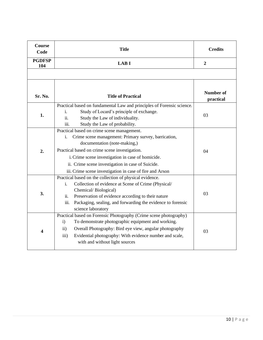| Course<br>Code       | <b>Title</b>                                                                                                                                                                                                                                                                                                                                                    | <b>Credits</b>                |
|----------------------|-----------------------------------------------------------------------------------------------------------------------------------------------------------------------------------------------------------------------------------------------------------------------------------------------------------------------------------------------------------------|-------------------------------|
| <b>PGDFSP</b><br>104 | <b>LABI</b>                                                                                                                                                                                                                                                                                                                                                     | $\overline{2}$                |
|                      |                                                                                                                                                                                                                                                                                                                                                                 |                               |
| Sr. No.              | <b>Title of Practical</b>                                                                                                                                                                                                                                                                                                                                       | <b>Number of</b><br>practical |
| 1.                   | Practical based on fundamental Law and principles of Forensic science.<br>Study of Locard's principle of exchange.<br>i.<br>ii.<br>Study the Law of individuality.<br>iii.<br>Study the Law of probability.                                                                                                                                                     | 03                            |
| 2.                   | Practical based on crime scene management.<br>Crime scene management: Primary survey, barrication,<br>i.<br>documentation (note-making,)<br>Practical based on crime scene investigation.<br>i. Crime scene investigation in case of homicide.<br>ii. Crime scene investigation in case of Suicide.<br>iii. Crime scene investigation in case of fire and Arson | 04                            |
| 3.                   | Practical based on the collection of physical evidence.<br>Collection of evidence at Scene of Crime (Physical/<br>i.<br>Chemical/Biological)<br>Preservation of evidence according to their nature<br>ii.<br>Packaging, sealing, and forwarding the evidence to forensic<br>iii.<br>science laboratory                                                          | 03                            |
| 4                    | Practical based on Forensic Photography (Crime scene photography)<br>To demonstrate photographic equipment and working.<br>$\mathbf{i}$<br>Overall Photography: Bird eye view, angular photography<br>$\mathbf{ii}$<br>Evidential photography: With evidence number and scale,<br>iii)<br>with and without light sources                                        | 03                            |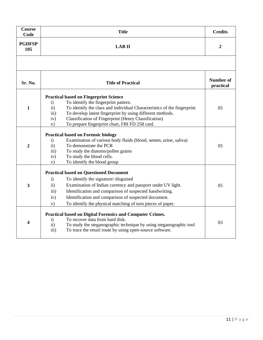| <b>Course</b><br>Code | <b>Title</b>                                                                                                                                                                                                                                                                                                                                                                                                       | <b>Credits</b>                |  |  |
|-----------------------|--------------------------------------------------------------------------------------------------------------------------------------------------------------------------------------------------------------------------------------------------------------------------------------------------------------------------------------------------------------------------------------------------------------------|-------------------------------|--|--|
| <b>PGDFSP</b><br>105  | <b>LAB II</b>                                                                                                                                                                                                                                                                                                                                                                                                      |                               |  |  |
|                       |                                                                                                                                                                                                                                                                                                                                                                                                                    |                               |  |  |
| Sr. No.               | <b>Title of Practical</b>                                                                                                                                                                                                                                                                                                                                                                                          | <b>Number of</b><br>practical |  |  |
| $\mathbf{1}$          | <b>Practical based on Fingerprint Science</b><br>To identify the fingerprint pattern.<br>$\mathbf{i}$<br>To identify the class and individual Characteristics of the fingerprint<br>$\mathbf{ii}$<br>To develop latent fingerprint by using different methods.<br>$\overline{111}$ )<br><b>Classification of Fingerprint (Henry Classification)</b><br>iv)<br>To prepare fingerprint chart, FBI FD 258 card.<br>V) | 05                            |  |  |
| 2                     | <b>Practical based on Forensic biology</b><br>Examination of various body fluids (blood, semen, urine, saliva)<br>$\mathbf{i}$<br>$\mathbf{ii}$<br>To demonstrate the PCR<br>To study the diatoms/pollen grains<br>iii)<br>To study the blood cells.<br>iv)<br>To identify the blood group<br>V)                                                                                                                   | 05                            |  |  |
| 3                     | <b>Practical based on Questioned Document</b><br>To identify the signature/disguised<br>$\mathbf{i}$<br>Examination of Indian currency and passport under UV light.<br>ii)<br>Identification and comparison of suspected handwriting.<br>iii)<br>Identification and comparison of suspected document.<br>iv)<br>To identify the physical matching of torn pieces of paper.<br>V)                                   | 05                            |  |  |
| 4                     | <b>Practical based on Digital Forensics and Computer Crimes.</b><br>To recover data from hard disk.<br>$\mathbf{i}$<br>To study the steganographic technique by using steganographic tool<br>ii)<br>To trace the email route by using open-source software.<br>$\overline{iii}$ )                                                                                                                                  | 03                            |  |  |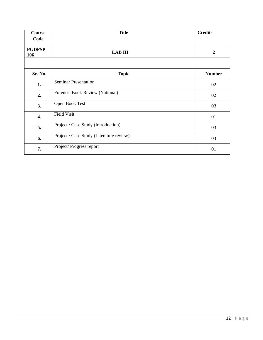| Course               | <b>Title</b>                             | <b>Credits</b> |
|----------------------|------------------------------------------|----------------|
| Code                 |                                          |                |
| <b>PGDFSP</b><br>106 | <b>LAB III</b>                           | $\overline{2}$ |
|                      |                                          |                |
| Sr. No.              | <b>Topic</b>                             | <b>Number</b>  |
| 1.                   | <b>Seminar Presentation</b>              | 02             |
| 2.                   | Forensic Book Review (National)          | 02             |
| 3.                   | Open Book Test                           | 03             |
| 4.                   | <b>Field Visit</b>                       | 01             |
| 5.                   | Project / Case Study (Introduction)      | 03             |
| 6.                   | Project / Case Study (Literature review) | 03             |
| 7.                   | Project/Progress report                  | 01             |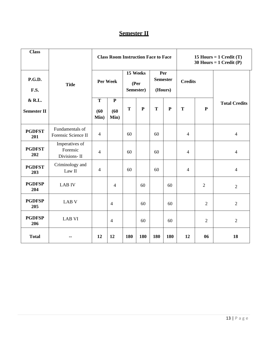#### **Semester II**

| <b>Class</b>                 |                                            | <b>Class Room Instruction Face to Face</b> |                              |                                |             | 15 Hours = $1$ Credit (T)<br>30 Hours = $1$ Credit (P) |           |                |                |                      |
|------------------------------|--------------------------------------------|--------------------------------------------|------------------------------|--------------------------------|-------------|--------------------------------------------------------|-----------|----------------|----------------|----------------------|
| <b>P.G.D.</b><br>F.S.        | <b>Title</b>                               | Per Week                                   |                              | 15 Weeks<br>(Per)<br>Semester) |             | Per<br><b>Semester</b><br>(Hours)                      |           | <b>Credits</b> |                |                      |
| & R.L.<br><b>Semester II</b> |                                            | T<br>(60)<br>Min)                          | $\mathbf{P}$<br>(60)<br>Min) | T                              | $\mathbf P$ | T                                                      | ${\bf P}$ | T              | ${\bf P}$      | <b>Total Credits</b> |
| <b>PGDFST</b><br>201         | Fundamentals of<br>Forensic Science II     | $\overline{4}$                             |                              | 60                             |             | 60                                                     |           | $\overline{4}$ |                | $\overline{4}$       |
| <b>PGDFST</b><br>202         | Imperatives of<br>Forensic<br>Divisions-II | $\overline{4}$                             |                              | 60                             |             | 60                                                     |           | $\overline{4}$ |                | $\overline{4}$       |
| <b>PGDFST</b><br>203         | Criminology and<br>Law II                  | $\overline{4}$                             |                              | 60                             |             | 60                                                     |           | $\overline{4}$ |                | $\overline{4}$       |
| <b>PGDFSP</b><br>204         | <b>LAB IV</b>                              |                                            | $\overline{4}$               |                                | 60          |                                                        | 60        |                | $\overline{2}$ | $\overline{2}$       |
| <b>PGDFSP</b><br>205         | <b>LAB V</b>                               |                                            | $\overline{4}$               |                                | 60          |                                                        | 60        |                | $\overline{2}$ | $\overline{2}$       |
| <b>PGDFSP</b><br>206         | <b>LAB VI</b>                              |                                            | $\overline{4}$               |                                | 60          |                                                        | 60        |                | $\overline{2}$ | $\overline{2}$       |
| <b>Total</b>                 |                                            | 12                                         | 12                           | 180                            | 180         | 180                                                    | 180       | 12             | 06             | 18                   |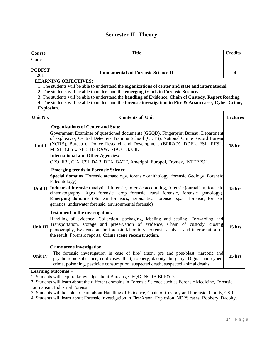# **Semester II- Theory**

| <b>Course</b>        | <b>Title</b>                                                                                                                                                                                                                                                                                                                                      | <b>Credits</b>    |
|----------------------|---------------------------------------------------------------------------------------------------------------------------------------------------------------------------------------------------------------------------------------------------------------------------------------------------------------------------------------------------|-------------------|
| Code                 |                                                                                                                                                                                                                                                                                                                                                   |                   |
|                      |                                                                                                                                                                                                                                                                                                                                                   |                   |
| <b>PGDFST</b><br>201 | <b>Fundamentals of Forensic Science II</b>                                                                                                                                                                                                                                                                                                        | $\boldsymbol{4}$  |
|                      | <b>LEARNING OBJECTIVES:</b>                                                                                                                                                                                                                                                                                                                       |                   |
|                      | 1. The students will be able to understand the organizations of center and state and international.                                                                                                                                                                                                                                               |                   |
|                      | 2. The students will be able to understand the emerging trends in Forensic Science.                                                                                                                                                                                                                                                               |                   |
|                      | 3. The students will be able to understand the handling of Evidence, Chain of Custody, Report Reading                                                                                                                                                                                                                                             |                   |
|                      | 4. The students will be able to understand the forensic investigation in Fire & Arson cases, Cyber Crime,                                                                                                                                                                                                                                         |                   |
| <b>Explosion.</b>    |                                                                                                                                                                                                                                                                                                                                                   |                   |
| Unit No.             | <b>Contents of Unit</b>                                                                                                                                                                                                                                                                                                                           | <b>Lectures</b>   |
|                      | <b>Organizations of Center and State.</b>                                                                                                                                                                                                                                                                                                         |                   |
| Unit I               | Government Examiner of questioned documents (GEQD), Fingerprint Bureau, Department<br>of explosives, Central Detective Training School (CDTS), National Crime Record Bureau<br>(NCRB), Bureau of Police Research and Development (BPR&D), DDFL, FSL, RFSL,<br>MFSL, CFSL, NFB, IB, RAW, NIA, CBI, CID                                             | 15 <sub>hrs</sub> |
|                      | <b>International and Other Agencies:</b>                                                                                                                                                                                                                                                                                                          |                   |
|                      | CPO, FBI, CIA, CSI, DAB, DEA, BATF, Ameripol, Europol, Frontex, INTERPOL.                                                                                                                                                                                                                                                                         |                   |
|                      | <b>Emerging trends in Forensic Science</b>                                                                                                                                                                                                                                                                                                        |                   |
|                      | Special domains (Forensic archaeology, forensic ornithology, forensic Geology, Forensic<br>Paleontology)                                                                                                                                                                                                                                          |                   |
| Unit II              | <b>Industrial forensic</b> (analytical forensic, forensic accounting, forensic journalism, forensic<br>cinematography, Agro forensic, crop forensic, rural forensic, forensic gemology).<br><b>Emerging domains</b> (Nuclear forensics, aeronautical forensic, space forensic, forensic<br>genetics, underwater forensic, environmental forensic) | $15$ hrs          |
|                      | <b>Testament in the investigation.</b>                                                                                                                                                                                                                                                                                                            |                   |
| Unit III             | Handling of evidence: Collection, packaging, labeling and sealing, Forwarding and<br>Transportation, storage and preservation of evidence, Chain of custody, closing<br>photography, Evidence at the forensic laboratory, Forensic analysis and interpretation of<br>the result, Forensic reports, Crime scene reconstruction,                    | 15 <sub>hrs</sub> |
|                      | Crime scene investigation                                                                                                                                                                                                                                                                                                                         |                   |
| <b>Unit IV</b>       | The forensic investigation in case of fire/ arson, pre and post-blast, narcotic and<br>psychotropic substance, cold cases, theft, robbery, dacoity, burglary, Digital and cyber-<br>crime, poisoning, pesticide consumption, suspected death, suspected animal deaths                                                                             | $15$ hrs          |
|                      | Learning outcomes -                                                                                                                                                                                                                                                                                                                               |                   |
|                      | 1. Students will acquire knowledge about Bureaus, GEQD, NCRB BPR&D.<br>2. Students will learn about the different domains in Forensic Science such as Forensic Medicine, Forensic<br>Journalism, Industrial Forensic<br>3. Students will be able to learn about Handling of Evidence, Chain of Custody and Forensic Reports, CSR                  |                   |
|                      | 4. Students will learn about Forensic Investigation in Fire/Arson, Explosion, NDPS cases, Robbery, Dacoity.                                                                                                                                                                                                                                       |                   |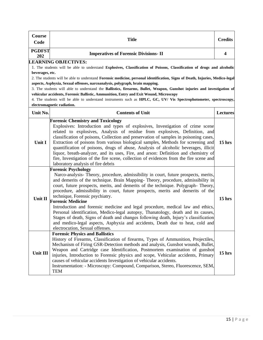| Course<br>Code       | <b>Title</b>                                                                                                                                                                                                  | <b>Credits</b>  |
|----------------------|---------------------------------------------------------------------------------------------------------------------------------------------------------------------------------------------------------------|-----------------|
| <b>PGDFST</b><br>202 | <b>Imperatives of Forensic Divisions- II</b>                                                                                                                                                                  | 4               |
|                      | <b>LEARNING OBJECTIVES:</b>                                                                                                                                                                                   |                 |
|                      | 1. The students will be able to understand Explosives, Classification of Poisons, Classification of drugs and alcoholic                                                                                       |                 |
| beverages, etc.      |                                                                                                                                                                                                               |                 |
|                      | 2. The students will be able to understand Forensic medicine, personal identification, Signs of Death, Injuries, Medico-legal<br>aspects, Asphyxia, Sexual offenses, narcoanalysis, polygraph, brain mapping. |                 |
|                      | 3. The students will able to understand the Ballistics, firearms, Bullet, Weapon, Gunshot injuries and investigation of                                                                                       |                 |
|                      | vehicular accidents, Forensic Ballistic, Ammunition, Entry and Exit Wound, Microscopy                                                                                                                         |                 |
|                      | 4. The students will be able to understand instruments such as HPLC, GC, UV/ Vis Spectrophotometer, spectroscopy,                                                                                             |                 |
|                      | electromagnetic radiation.                                                                                                                                                                                    |                 |
| Unit No.             | <b>Contents of Unit</b>                                                                                                                                                                                       | <b>Lectures</b> |
|                      | <b>Forensic Chemistry and Toxicology</b>                                                                                                                                                                      |                 |
|                      | Explosives: Introduction and types of explosives, Investigation of crime scene                                                                                                                                |                 |
|                      | related to explosives, Analysis of residue from explosives, Definition, and                                                                                                                                   |                 |
|                      | classification of poisons, Collection and preservation of samples in poisoning cases,                                                                                                                         |                 |
| Unit I               | Extraction of poisons from various biological samples, Methods for screening and                                                                                                                              | $15$ hrs        |
|                      | quantification of poisons, drugs of abuse, Analysis of alcoholic beverages, illicit                                                                                                                           |                 |
|                      | liquor, breath-analyzer, and its uses, Fire, and arson: Definition and chemistry of<br>fire, Investigation of the fire scene, collection of evidences from the fire scene and                                 |                 |
|                      | laboratory analysis of fire debris                                                                                                                                                                            |                 |
|                      | <b>Forensic Psychology</b>                                                                                                                                                                                    |                 |
|                      | Narco-analysis- Theory, procedure, admissibility in court, future prospects, merits,                                                                                                                          |                 |
|                      | and demerits of the technique. Brain Mapping-Theory, procedure, admissibility in                                                                                                                              |                 |
|                      | court, future prospects, merits, and demerits of the technique. Polygraph-Theory,                                                                                                                             |                 |
|                      | procedure, admissibility in court, future prospects, merits and demerits of the                                                                                                                               |                 |
| Unit II              | technique, Forensic psychiatry.                                                                                                                                                                               | $15$ hrs        |
|                      | <b>Forensic Medicine</b>                                                                                                                                                                                      |                 |
|                      | Introduction and forensic medicine and legal procedure, medical law and ethics,                                                                                                                               |                 |
|                      | Personal identification, Medico-legal autopsy, Thanatology, death and its causes,<br>Stages of death, Signs of death and changes following death, Injury's classification                                     |                 |
|                      | and medico-legal aspects, Asphyxia and accidents, Death due to heat, cold and                                                                                                                                 |                 |
|                      | electrocution, Sexual offenses.                                                                                                                                                                               |                 |
|                      | <b>Forensic Physics and Ballistics</b>                                                                                                                                                                        |                 |
|                      | History of Firearms, Classification of firearms, Types of Ammunition, Projectiles,                                                                                                                            |                 |
| Unit III             | Mechanism of Firing GSR-Detection methods and analysis, Gunshot wounds, Bullet,                                                                                                                               |                 |
|                      | Weapon and Cartridge case Identification, Postmortem examination of gunshot                                                                                                                                   | $15$ hrs        |
|                      | injuries, Introduction to Forensic physics and scope, Vehicular accidents, Primary                                                                                                                            |                 |
|                      | causes of vehicular accidents Investigation of vehicular accidents.                                                                                                                                           |                 |
|                      | Instrumentation: - Microscopy: Compound, Comparison, Stereo, Fluorescence, SEM,<br><b>TEM</b>                                                                                                                 |                 |
|                      |                                                                                                                                                                                                               |                 |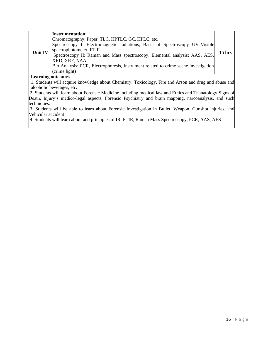| <b>Unit IV</b> | <b>Instrumentation:</b><br>Chromatography: Paper, TLC, HPTLC, GC, HPLC, etc.<br>Spectroscopy I: Electromagnetic radiations, Basic of Spectroscopy UV-Visible<br>spectrophotometer, FTIR<br>Spectroscopy II: Raman and Mass spectroscopy, Elemental analysis: AAS, AES,<br>XRD, XRF, NAA, | $15$ hrs |
|----------------|------------------------------------------------------------------------------------------------------------------------------------------------------------------------------------------------------------------------------------------------------------------------------------------|----------|
|                | Bio Analysis: PCR, Electrophoresis, Instrument related to crime scene investigation<br>(crime light)                                                                                                                                                                                     |          |

#### **Learning outcomes –**

1. Students will acquire knowledge about Chemistry, Toxicology, Fire and Arson and drug and abuse and alcoholic beverages, etc.

2. Students will learn about Forensic Medicine including medical law and Ethics and Thanatology Signs of Death, Injury's medico-legal aspects, Forensic Psychiatry and brain mapping, narcoanalysis, and such techniques.

3. Students will be able to learn about Forensic Investigation in Bullet, Weapon, Gunshot injuries, and Vehicular accident

4. Students will learn about and principles of IR, FTIR, Raman Mass Spectroscopy, PCR, AAS, AES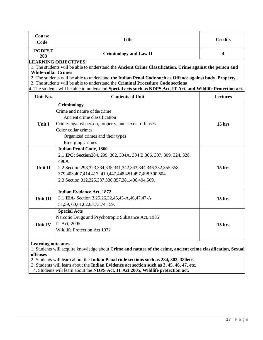| <b>Course</b><br>Code                                                                                                                                                                                                                                                                                                                                                                                                                                                                   | <b>Title</b>                                                                                                                                                                                                                                                                                                    | <b>Credits</b>          |  |  |
|-----------------------------------------------------------------------------------------------------------------------------------------------------------------------------------------------------------------------------------------------------------------------------------------------------------------------------------------------------------------------------------------------------------------------------------------------------------------------------------------|-----------------------------------------------------------------------------------------------------------------------------------------------------------------------------------------------------------------------------------------------------------------------------------------------------------------|-------------------------|--|--|
| <b>PGDFST</b><br>203                                                                                                                                                                                                                                                                                                                                                                                                                                                                    | <b>Criminology and Law II</b>                                                                                                                                                                                                                                                                                   | $\overline{\mathbf{4}}$ |  |  |
| <b>LEARNING OBJECTIVES:</b><br>1. The students will be able to understand the Ancient Crime Classification, Crime against the person and<br><b>White-collar Crimes</b><br>2. The students will be able to understand the Indian Penal Code such as Offence against body, Property.<br>3. The students will be able to understand the Criminal Procedure Code sections<br>4. The students will be able to understand Special acts such as NDPS Act, IT Act, and Wildlife Protection act. |                                                                                                                                                                                                                                                                                                                 |                         |  |  |
| Unit No.                                                                                                                                                                                                                                                                                                                                                                                                                                                                                | <b>Contents of Unit</b>                                                                                                                                                                                                                                                                                         | Lectures                |  |  |
| Unit I                                                                                                                                                                                                                                                                                                                                                                                                                                                                                  | Criminology<br>Crime and nature of the crime<br>Ancient crime classification<br>Crimes against person, property, and sexual offenses<br>Color collar crimes<br>Organized crimes and their types<br><b>Emerging Crimes</b>                                                                                       | 15 <sub>hrs</sub>       |  |  |
| Unit II                                                                                                                                                                                                                                                                                                                                                                                                                                                                                 | <b>Indian Penal Code, 1860</b><br>2.1 IPC: Section 284, 299, 302, 304A, 304 B, 306, 307, 309, 324, 328,<br>498A<br>2.2 Section 298, 323, 334, 335, 341, 342, 343, 344, 346, 352, 355, 358,<br>379,403,407,414,417, 419,447,448,451,497,498,500,504.<br>2.3 Section 312, 325, 337, 338, 357, 381, 406, 494, 509. | $15$ hrs                |  |  |
| <b>Unit III</b>                                                                                                                                                                                                                                                                                                                                                                                                                                                                         | <b>Indian Evidence Act, 1872</b><br>3.1 IEA- Section 3,25,26,32,45,45-A,46,47,47-A,<br>51,59, 60, 61, 62, 63, 73, 74 159.                                                                                                                                                                                       | $15$ hrs                |  |  |
| Unit IV                                                                                                                                                                                                                                                                                                                                                                                                                                                                                 | <b>Special Acts</b><br>Narcotic Drugs and Psychotropic Substance Act, 1985<br>IT Act, 2005<br>Wildlife Protection Act 1972                                                                                                                                                                                      | $15$ hrs                |  |  |
| Learning outcomes -<br>1. Students will acquire knowledge about Crime and nature of the crime, ancient crime classification, Sexual<br>offenses<br>2. Students will learn about the Indian Penal code sections such as 284, 302, 380etc.                                                                                                                                                                                                                                                |                                                                                                                                                                                                                                                                                                                 |                         |  |  |

3. Students will learn about the **Indian Evidence act section such as 3, 45, 46, 47, etc.**

4. Students will learn about the **NDPS Act, IT Act 2005, Wildlife protection act.**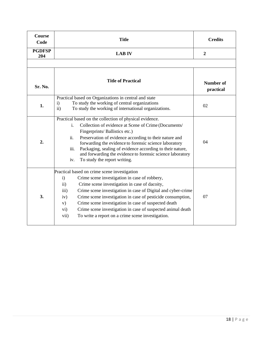| Course<br>Code       | <b>Title</b>                                                                                                                                                                                                                                                                                                                                                                                                                                                                                                                          | <b>Credits</b>                |
|----------------------|---------------------------------------------------------------------------------------------------------------------------------------------------------------------------------------------------------------------------------------------------------------------------------------------------------------------------------------------------------------------------------------------------------------------------------------------------------------------------------------------------------------------------------------|-------------------------------|
| <b>PGDFSP</b><br>204 | <b>LAB IV</b>                                                                                                                                                                                                                                                                                                                                                                                                                                                                                                                         | $\overline{2}$                |
|                      |                                                                                                                                                                                                                                                                                                                                                                                                                                                                                                                                       |                               |
| Sr. No.              | <b>Title of Practical</b>                                                                                                                                                                                                                                                                                                                                                                                                                                                                                                             | <b>Number of</b><br>practical |
| 1.                   | Practical based on Organizations in central and state<br>To study the working of central organizations<br>$\mathbf{i}$<br>ii)<br>To study the working of international organizations.                                                                                                                                                                                                                                                                                                                                                 | 02                            |
| 2.                   | Practical based on the collection of physical evidence.<br>Collection of evidence at Scene of Crime (Documents/<br>i.<br>Fingerprints/ Ballistics etc.)<br>Preservation of evidence according to their nature and<br>ii.<br>forwarding the evidence to forensic science laboratory<br>Packaging, sealing of evidence according to their nature,<br>iii.<br>and forwarding the evidence to forensic science laboratory<br>To study the report writing.<br>iv.                                                                          | 04                            |
| 3.                   | Practical based on crime scene investigation<br>Crime scene investigation in case of robbery,<br>i)<br>$\ddot{i}$<br>Crime scene investigation in case of dacoity,<br>Crime scene investigation in case of Digital and cyber-crime<br>$\overline{iii}$ )<br>Crime scene investigation in case of pesticide consumption,<br>iv)<br>Crime scene investigation in case of suspected death<br>V)<br>Crime scene investigation in case of suspected animal death<br>$\rm vi)$<br>To write a report on a crime scene investigation.<br>vii) | 07                            |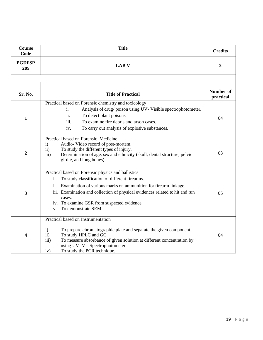| <b>Course</b><br>Code   | <b>Title</b>                                                                                                                                                                                                                                                                                                                                                        | <b>Credits</b>                |
|-------------------------|---------------------------------------------------------------------------------------------------------------------------------------------------------------------------------------------------------------------------------------------------------------------------------------------------------------------------------------------------------------------|-------------------------------|
| <b>PGDFSP</b><br>205    | <b>LAB V</b>                                                                                                                                                                                                                                                                                                                                                        | $\boldsymbol{2}$              |
|                         |                                                                                                                                                                                                                                                                                                                                                                     |                               |
| Sr. No.                 | <b>Title of Practical</b>                                                                                                                                                                                                                                                                                                                                           | <b>Number of</b><br>practical |
| 1                       | Practical based on Forensic chemistry and toxicology<br>Analysis of drug/poison using UV-Visible spectrophotometer.<br>i.<br>ii.<br>To detect plant poisons<br>iii.<br>To examine fire debris and arson cases.<br>To carry out analysis of explosive substances.<br>iv.                                                                                             | 04                            |
| $\overline{2}$          | Practical based on Forensic Medicine<br>Audio-Video record of post-mortem.<br>$\mathbf{i}$<br>To study the different types of injury.<br>ii)<br>Determination of age, sex and ethnicity (skull, dental structure, pelvic<br>iii)<br>girdle, and long bones)                                                                                                         | 03                            |
| $\overline{\mathbf{3}}$ | Practical based on Forensic physics and ballistics<br>To study classification of different firearms.<br>i.<br>Examination of various marks on ammunition for firearm linkage.<br>11.<br>iii. Examination and collection of physical evidences related to hit and run<br>cases.<br>iv. To examine GSR from suspected evidence.<br>To demonstrate SEM.<br>$V_{\star}$ | 05                            |
| 4                       | Practical based on Instrumentation<br>To prepare chromatographic plate and separate the given component.<br>$\mathbf{i}$<br>To study HPLC and GC.<br>$\mathbf{ii}$<br>iii)<br>To measure absorbance of given solution at different concentration by<br>using UV- Vis Spectrophotometer.<br>To study the PCR technique.<br>iv)                                       | 04                            |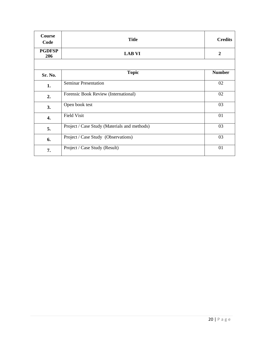| Course<br>Code       | <b>Title</b>                                 | <b>Credits</b> |
|----------------------|----------------------------------------------|----------------|
| <b>PGDFSP</b><br>206 | <b>LAB VI</b>                                | $\overline{2}$ |
|                      |                                              |                |
| Sr. No.              | <b>Topic</b>                                 | <b>Number</b>  |
| 1.                   | <b>Seminar Presentation</b>                  | 02             |
| 2.                   | Forensic Book Review (International)         | 02             |
| 3.                   | Open book test                               | 03             |
| 4.                   | <b>Field Visit</b>                           | 01             |
| 5.                   | Project / Case Study (Materials and methods) | 03             |
| 6.                   | Project / Case Study (Observations)          | 03             |
| 7.                   | Project / Case Study (Result)                | 01             |